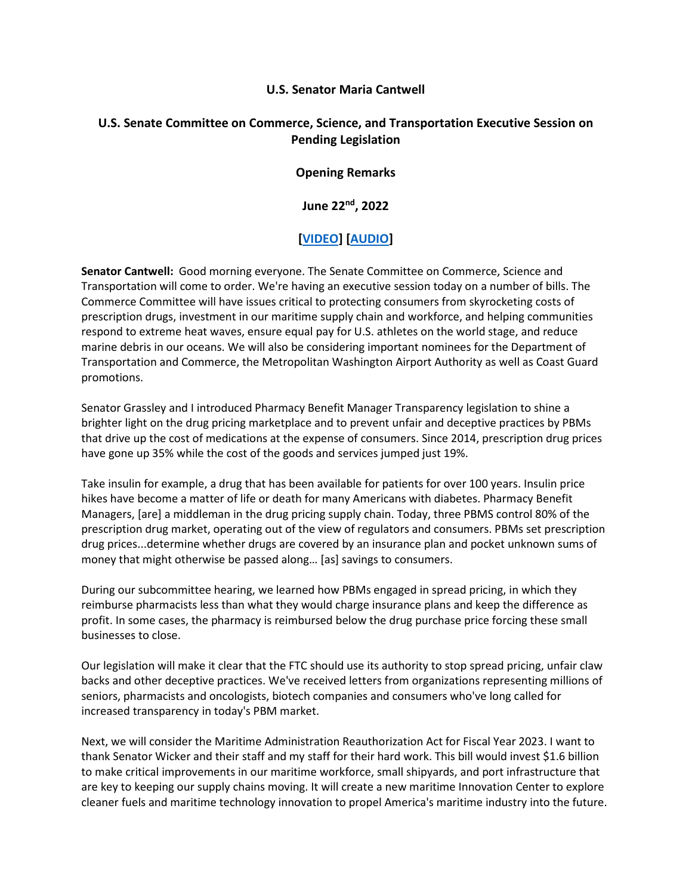## **U.S. Senator Maria Cantwell**

## **U.S. Senate Committee on Commerce, Science, and Transportation Executive Session on Pending Legislation**

## **Opening Remarks**

**June 22nd, 2022**

## **[\[VIDEO\]](https://www.cantwell.senate.gov/download/06222022-commerce-mark-up-video) [\[AUDIO\]](https://www.cantwell.senate.gov/download/06222022-commerce-mark-up-audio)**

**Senator Cantwell:** Good morning everyone. The Senate Committee on Commerce, Science and Transportation will come to order. We're having an executive session today on a number of bills. The Commerce Committee will have issues critical to protecting consumers from skyrocketing costs of prescription drugs, investment in our maritime supply chain and workforce, and helping communities respond to extreme heat waves, ensure equal pay for U.S. athletes on the world stage, and reduce marine debris in our oceans. We will also be considering important nominees for the Department of Transportation and Commerce, the Metropolitan Washington Airport Authority as well as Coast Guard promotions.

Senator Grassley and I introduced Pharmacy Benefit Manager Transparency legislation to shine a brighter light on the drug pricing marketplace and to prevent unfair and deceptive practices by PBMs that drive up the cost of medications at the expense of consumers. Since 2014, prescription drug prices have gone up 35% while the cost of the goods and services jumped just 19%.

Take insulin for example, a drug that has been available for patients for over 100 years. Insulin price hikes have become a matter of life or death for many Americans with diabetes. Pharmacy Benefit Managers, [are] a middleman in the drug pricing supply chain. Today, three PBMS control 80% of the prescription drug market, operating out of the view of regulators and consumers. PBMs set prescription drug prices...determine whether drugs are covered by an insurance plan and pocket unknown sums of money that might otherwise be passed along… [as] savings to consumers.

During our subcommittee hearing, we learned how PBMs engaged in spread pricing, in which they reimburse pharmacists less than what they would charge insurance plans and keep the difference as profit. In some cases, the pharmacy is reimbursed below the drug purchase price forcing these small businesses to close.

Our legislation will make it clear that the FTC should use its authority to stop spread pricing, unfair claw backs and other deceptive practices. We've received letters from organizations representing millions of seniors, pharmacists and oncologists, biotech companies and consumers who've long called for increased transparency in today's PBM market.

Next, we will consider the Maritime Administration Reauthorization Act for Fiscal Year 2023. I want to thank Senator Wicker and their staff and my staff for their hard work. This bill would invest \$1.6 billion to make critical improvements in our maritime workforce, small shipyards, and port infrastructure that are key to keeping our supply chains moving. It will create a new maritime Innovation Center to explore cleaner fuels and maritime technology innovation to propel America's maritime industry into the future.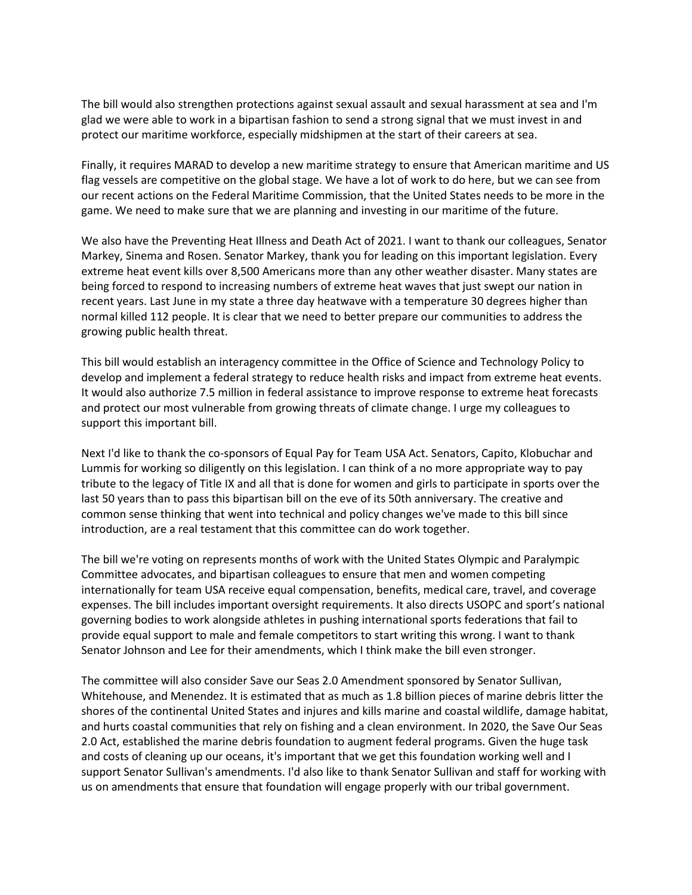The bill would also strengthen protections against sexual assault and sexual harassment at sea and I'm glad we were able to work in a bipartisan fashion to send a strong signal that we must invest in and protect our maritime workforce, especially midshipmen at the start of their careers at sea.

Finally, it requires MARAD to develop a new maritime strategy to ensure that American maritime and US flag vessels are competitive on the global stage. We have a lot of work to do here, but we can see from our recent actions on the Federal Maritime Commission, that the United States needs to be more in the game. We need to make sure that we are planning and investing in our maritime of the future.

We also have the Preventing Heat Illness and Death Act of 2021. I want to thank our colleagues, Senator Markey, Sinema and Rosen. Senator Markey, thank you for leading on this important legislation. Every extreme heat event kills over 8,500 Americans more than any other weather disaster. Many states are being forced to respond to increasing numbers of extreme heat waves that just swept our nation in recent years. Last June in my state a three day heatwave with a temperature 30 degrees higher than normal killed 112 people. It is clear that we need to better prepare our communities to address the growing public health threat.

This bill would establish an interagency committee in the Office of Science and Technology Policy to develop and implement a federal strategy to reduce health risks and impact from extreme heat events. It would also authorize 7.5 million in federal assistance to improve response to extreme heat forecasts and protect our most vulnerable from growing threats of climate change. I urge my colleagues to support this important bill.

Next I'd like to thank the co-sponsors of Equal Pay for Team USA Act. Senators, Capito, Klobuchar and Lummis for working so diligently on this legislation. I can think of a no more appropriate way to pay tribute to the legacy of Title IX and all that is done for women and girls to participate in sports over the last 50 years than to pass this bipartisan bill on the eve of its 50th anniversary. The creative and common sense thinking that went into technical and policy changes we've made to this bill since introduction, are a real testament that this committee can do work together.

The bill we're voting on represents months of work with the United States Olympic and Paralympic Committee advocates, and bipartisan colleagues to ensure that men and women competing internationally for team USA receive equal compensation, benefits, medical care, travel, and coverage expenses. The bill includes important oversight requirements. It also directs USOPC and sport's national governing bodies to work alongside athletes in pushing international sports federations that fail to provide equal support to male and female competitors to start writing this wrong. I want to thank Senator Johnson and Lee for their amendments, which I think make the bill even stronger.

The committee will also consider Save our Seas 2.0 Amendment sponsored by Senator Sullivan, Whitehouse, and Menendez. It is estimated that as much as 1.8 billion pieces of marine debris litter the shores of the continental United States and injures and kills marine and coastal wildlife, damage habitat, and hurts coastal communities that rely on fishing and a clean environment. In 2020, the Save Our Seas 2.0 Act, established the marine debris foundation to augment federal programs. Given the huge task and costs of cleaning up our oceans, it's important that we get this foundation working well and I support Senator Sullivan's amendments. I'd also like to thank Senator Sullivan and staff for working with us on amendments that ensure that foundation will engage properly with our tribal government.